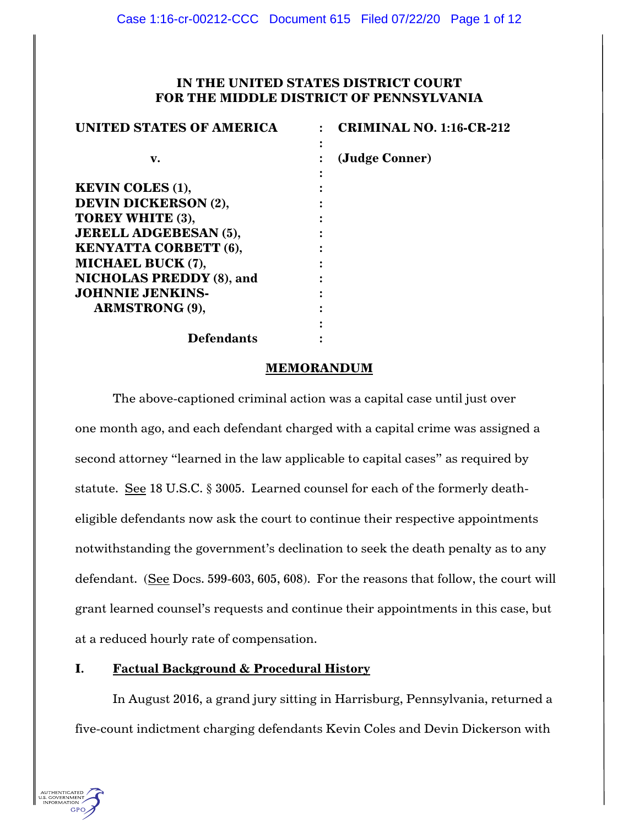# **IN THE UNITED STATES DISTRICT COURT FOR THE MIDDLE DISTRICT OF PENNSYLVANIA**

| <b>UNITED STATES OF AMERICA</b> | <b>CRIMINAL NO. 1:16-CR-212</b> |
|---------------------------------|---------------------------------|
| v.                              | (Judge Conner)                  |
| <b>KEVIN COLES (1),</b>         |                                 |
| <b>DEVIN DICKERSON (2),</b>     |                                 |
| TOREY WHITE (3),                |                                 |
| <b>JERELL ADGEBESAN (5),</b>    |                                 |
| <b>KENYATTA CORBETT (6),</b>    |                                 |
| MICHAEL BUCK (7),               |                                 |
| <b>NICHOLAS PREDDY (8), and</b> |                                 |
| <b>JOHNNIE JENKINS-</b>         |                                 |
| <b>ARMSTRONG (9),</b>           |                                 |
|                                 |                                 |
| <b>Defendants</b>               |                                 |

### **MEMORANDUM**

The above-captioned criminal action was a capital case until just over one month ago, and each defendant charged with a capital crime was assigned a second attorney "learned in the law applicable to capital cases" as required by statute. See 18 U.S.C. § 3005. Learned counsel for each of the formerly deatheligible defendants now ask the court to continue their respective appointments notwithstanding the government's declination to seek the death penalty as to any defendant. (See Docs. 599-603, 605, 608). For the reasons that follow, the court will grant learned counsel's requests and continue their appointments in this case, but at a reduced hourly rate of compensation.

## **I. Factual Background & Procedural History**

In August 2016, a grand jury sitting in Harrisburg, Pennsylvania, returned a five-count indictment charging defendants Kevin Coles and Devin Dickerson with

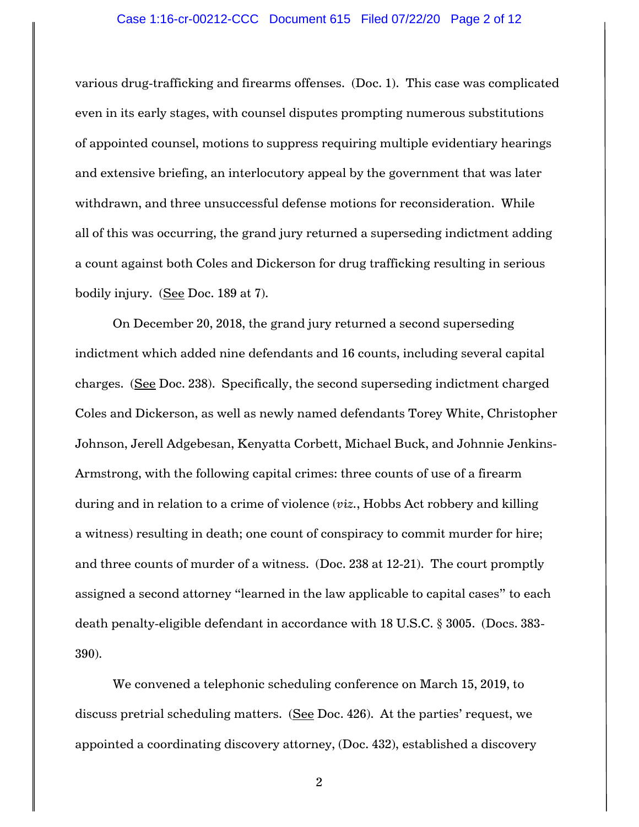### Case 1:16-cr-00212-CCC Document 615 Filed 07/22/20 Page 2 of 12

various drug-trafficking and firearms offenses. (Doc. 1). This case was complicated even in its early stages, with counsel disputes prompting numerous substitutions of appointed counsel, motions to suppress requiring multiple evidentiary hearings and extensive briefing, an interlocutory appeal by the government that was later withdrawn, and three unsuccessful defense motions for reconsideration. While all of this was occurring, the grand jury returned a superseding indictment adding a count against both Coles and Dickerson for drug trafficking resulting in serious bodily injury. (See Doc. 189 at 7).

On December 20, 2018, the grand jury returned a second superseding indictment which added nine defendants and 16 counts, including several capital charges. (See Doc. 238). Specifically, the second superseding indictment charged Coles and Dickerson, as well as newly named defendants Torey White, Christopher Johnson, Jerell Adgebesan, Kenyatta Corbett, Michael Buck, and Johnnie Jenkins-Armstrong, with the following capital crimes: three counts of use of a firearm during and in relation to a crime of violence (*viz.*, Hobbs Act robbery and killing a witness) resulting in death; one count of conspiracy to commit murder for hire; and three counts of murder of a witness. (Doc. 238 at 12-21). The court promptly assigned a second attorney "learned in the law applicable to capital cases" to each death penalty-eligible defendant in accordance with 18 U.S.C. § 3005. (Docs. 383- 390).

We convened a telephonic scheduling conference on March 15, 2019, to discuss pretrial scheduling matters. (See Doc. 426). At the parties' request, we appointed a coordinating discovery attorney, (Doc. 432), established a discovery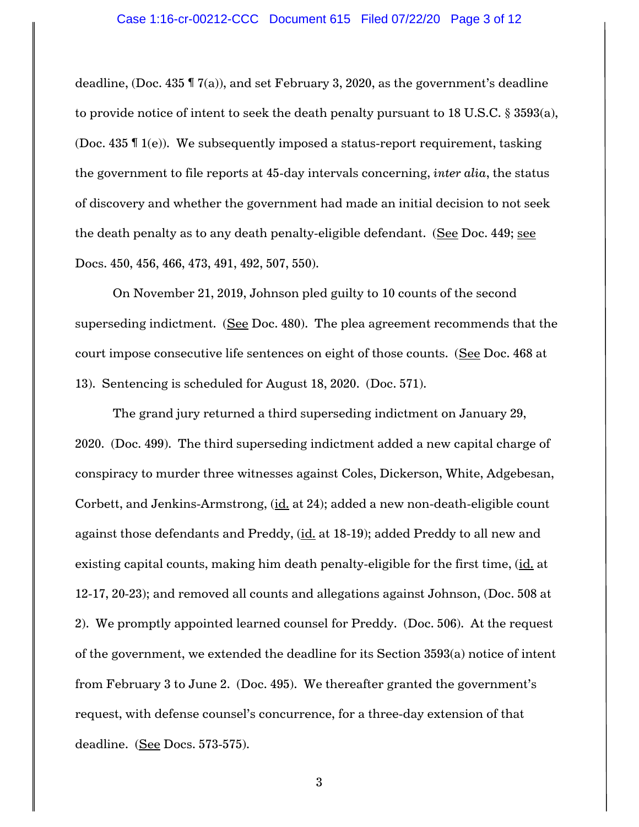deadline, (Doc. 435 ¶ 7(a)), and set February 3, 2020, as the government's deadline to provide notice of intent to seek the death penalty pursuant to 18 U.S.C. § 3593(a), (Doc. 435 ¶ 1(e)). We subsequently imposed a status-report requirement, tasking the government to file reports at 45-day intervals concerning, *inter alia*, the status of discovery and whether the government had made an initial decision to not seek the death penalty as to any death penalty-eligible defendant. (See Doc. 449; see Docs. 450, 456, 466, 473, 491, 492, 507, 550).

On November 21, 2019, Johnson pled guilty to 10 counts of the second superseding indictment. (See Doc. 480). The plea agreement recommends that the court impose consecutive life sentences on eight of those counts. (See Doc. 468 at 13). Sentencing is scheduled for August 18, 2020. (Doc. 571).

The grand jury returned a third superseding indictment on January 29, 2020. (Doc. 499). The third superseding indictment added a new capital charge of conspiracy to murder three witnesses against Coles, Dickerson, White, Adgebesan, Corbett, and Jenkins-Armstrong, (id. at 24); added a new non-death-eligible count against those defendants and Preddy, (id. at 18-19); added Preddy to all new and existing capital counts, making him death penalty-eligible for the first time, (id. at 12-17, 20-23); and removed all counts and allegations against Johnson, (Doc. 508 at 2). We promptly appointed learned counsel for Preddy. (Doc. 506). At the request of the government, we extended the deadline for its Section 3593(a) notice of intent from February 3 to June 2. (Doc. 495). We thereafter granted the government's request, with defense counsel's concurrence, for a three-day extension of that deadline. (See Docs. 573-575).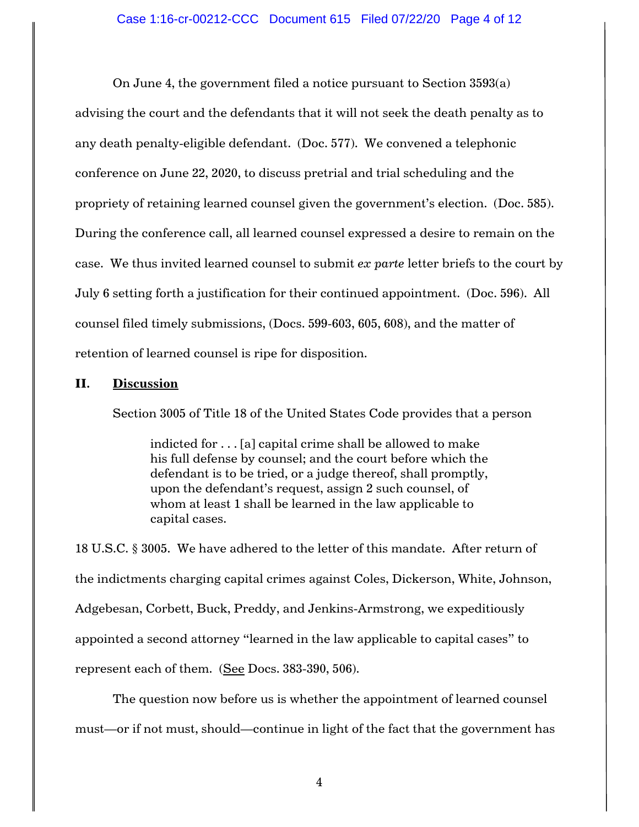On June 4, the government filed a notice pursuant to Section 3593(a) advising the court and the defendants that it will not seek the death penalty as to any death penalty-eligible defendant. (Doc. 577). We convened a telephonic conference on June 22, 2020, to discuss pretrial and trial scheduling and the propriety of retaining learned counsel given the government's election. (Doc. 585). During the conference call, all learned counsel expressed a desire to remain on the case. We thus invited learned counsel to submit *ex parte* letter briefs to the court by July 6 setting forth a justification for their continued appointment. (Doc. 596). All counsel filed timely submissions, (Docs. 599-603, 605, 608), and the matter of retention of learned counsel is ripe for disposition.

### **II. Discussion**

Section 3005 of Title 18 of the United States Code provides that a person

indicted for . . . [a] capital crime shall be allowed to make his full defense by counsel; and the court before which the defendant is to be tried, or a judge thereof, shall promptly, upon the defendant's request, assign 2 such counsel, of whom at least 1 shall be learned in the law applicable to capital cases.

18 U.S.C. § 3005. We have adhered to the letter of this mandate. After return of the indictments charging capital crimes against Coles, Dickerson, White, Johnson, Adgebesan, Corbett, Buck, Preddy, and Jenkins-Armstrong, we expeditiously appointed a second attorney "learned in the law applicable to capital cases" to represent each of them. (See Docs. 383-390, 506).

The question now before us is whether the appointment of learned counsel must—or if not must, should—continue in light of the fact that the government has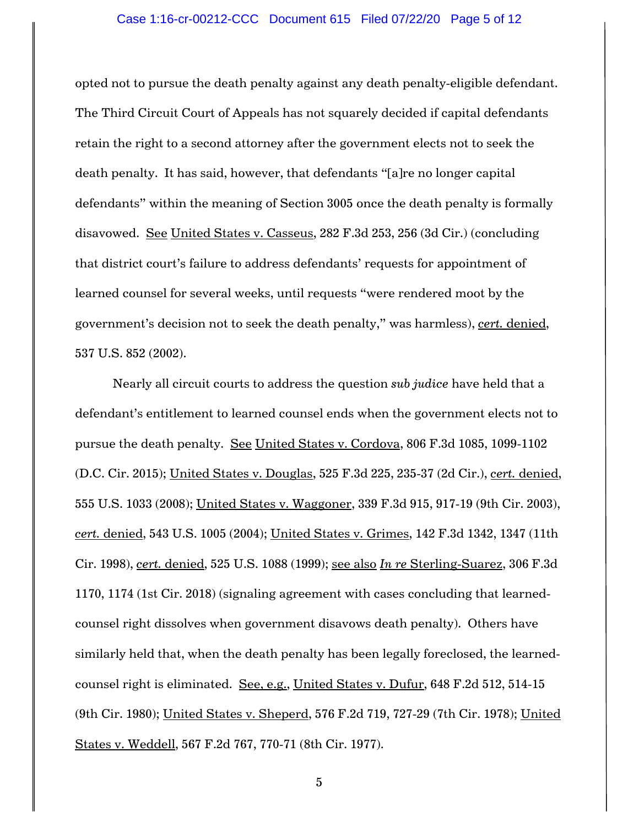### Case 1:16-cr-00212-CCC Document 615 Filed 07/22/20 Page 5 of 12

opted not to pursue the death penalty against any death penalty-eligible defendant. The Third Circuit Court of Appeals has not squarely decided if capital defendants retain the right to a second attorney after the government elects not to seek the death penalty. It has said, however, that defendants "[a]re no longer capital defendants" within the meaning of Section 3005 once the death penalty is formally disavowed. See United States v. Casseus, 282 F.3d 253, 256 (3d Cir.) (concluding that district court's failure to address defendants' requests for appointment of learned counsel for several weeks, until requests "were rendered moot by the government's decision not to seek the death penalty," was harmless), *cert.* denied, 537 U.S. 852 (2002).

Nearly all circuit courts to address the question *sub judice* have held that a defendant's entitlement to learned counsel ends when the government elects not to pursue the death penalty. See United States v. Cordova, 806 F.3d 1085, 1099-1102 (D.C. Cir. 2015); United States v. Douglas, 525 F.3d 225, 235-37 (2d Cir.), *cert.* denied, 555 U.S. 1033 (2008); United States v. Waggoner, 339 F.3d 915, 917-19 (9th Cir. 2003), *cert.* denied, 543 U.S. 1005 (2004); United States v. Grimes, 142 F.3d 1342, 1347 (11th Cir. 1998), *cert.* denied, 525 U.S. 1088 (1999); see also *In re* Sterling-Suarez, 306 F.3d 1170, 1174 (1st Cir. 2018) (signaling agreement with cases concluding that learnedcounsel right dissolves when government disavows death penalty). Others have similarly held that, when the death penalty has been legally foreclosed, the learnedcounsel right is eliminated. See, e.g., United States v. Dufur, 648 F.2d 512, 514-15 (9th Cir. 1980); United States v. Sheperd, 576 F.2d 719, 727-29 (7th Cir. 1978); United States v. Weddell, 567 F.2d 767, 770-71 (8th Cir. 1977).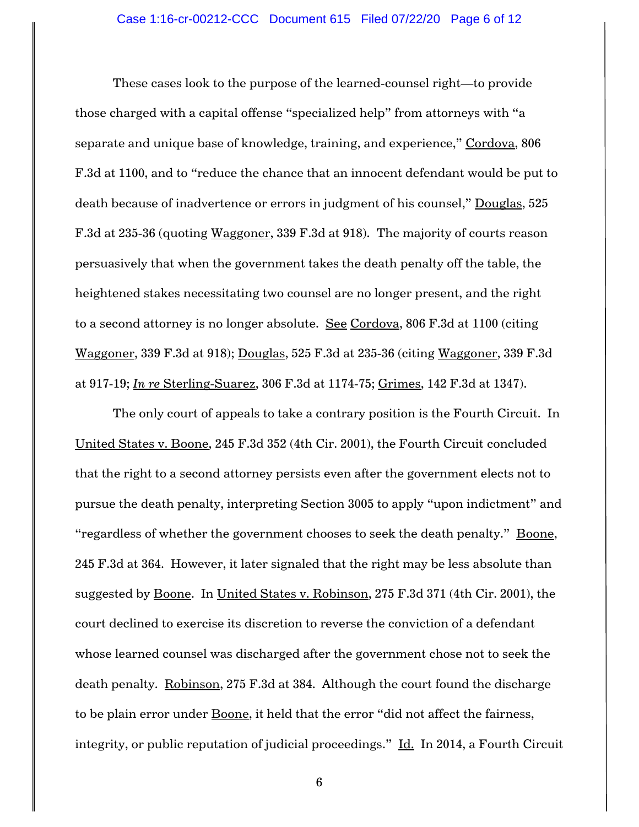These cases look to the purpose of the learned-counsel right—to provide those charged with a capital offense "specialized help" from attorneys with "a separate and unique base of knowledge, training, and experience," Cordova, 806 F.3d at 1100, and to "reduce the chance that an innocent defendant would be put to death because of inadvertence or errors in judgment of his counsel," Douglas, 525 F.3d at 235-36 (quoting Waggoner, 339 F.3d at 918). The majority of courts reason persuasively that when the government takes the death penalty off the table, the heightened stakes necessitating two counsel are no longer present, and the right to a second attorney is no longer absolute. See Cordova, 806 F.3d at 1100 (citing Waggoner, 339 F.3d at 918); Douglas, 525 F.3d at 235-36 (citing Waggoner, 339 F.3d at 917-19; *In re* Sterling-Suarez, 306 F.3d at 1174-75; Grimes, 142 F.3d at 1347).

The only court of appeals to take a contrary position is the Fourth Circuit. In United States v. Boone, 245 F.3d 352 (4th Cir. 2001), the Fourth Circuit concluded that the right to a second attorney persists even after the government elects not to pursue the death penalty, interpreting Section 3005 to apply "upon indictment" and "regardless of whether the government chooses to seek the death penalty." Boone, 245 F.3d at 364. However, it later signaled that the right may be less absolute than suggested by Boone. In United States v. Robinson, 275 F.3d 371 (4th Cir. 2001), the court declined to exercise its discretion to reverse the conviction of a defendant whose learned counsel was discharged after the government chose not to seek the death penalty. Robinson, 275 F.3d at 384. Although the court found the discharge to be plain error under Boone, it held that the error "did not affect the fairness, integrity, or public reputation of judicial proceedings." Id. In 2014, a Fourth Circuit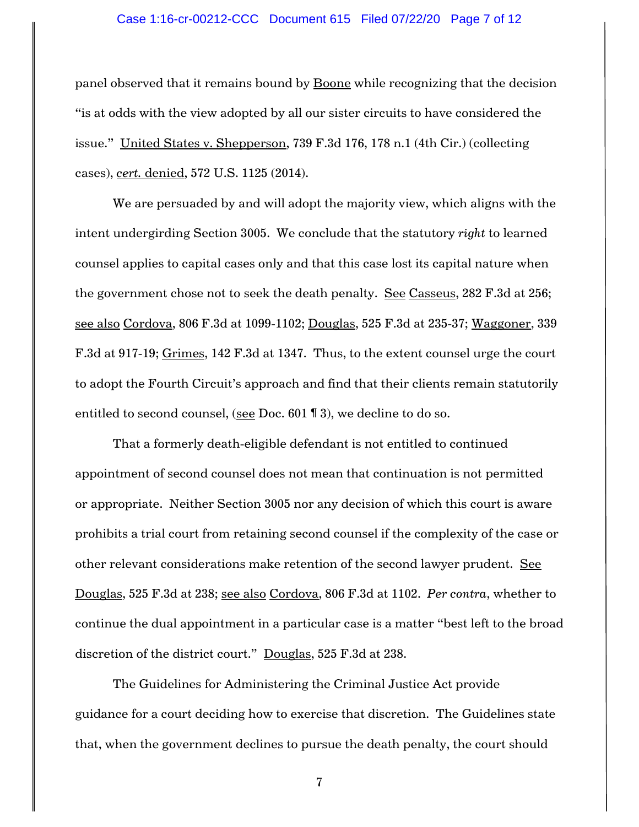### Case 1:16-cr-00212-CCC Document 615 Filed 07/22/20 Page 7 of 12

panel observed that it remains bound by Boone while recognizing that the decision "is at odds with the view adopted by all our sister circuits to have considered the issue." United States v. Shepperson, 739 F.3d 176, 178 n.1 (4th Cir.) (collecting cases), *cert.* denied, 572 U.S. 1125 (2014).

We are persuaded by and will adopt the majority view, which aligns with the intent undergirding Section 3005. We conclude that the statutory *right* to learned counsel applies to capital cases only and that this case lost its capital nature when the government chose not to seek the death penalty. See Casseus, 282 F.3d at 256; see also Cordova, 806 F.3d at 1099-1102; Douglas, 525 F.3d at 235-37; Waggoner, 339 F.3d at 917-19; Grimes, 142 F.3d at 1347. Thus, to the extent counsel urge the court to adopt the Fourth Circuit's approach and find that their clients remain statutorily entitled to second counsel, (see Doc. 601 ¶ 3), we decline to do so.

That a formerly death-eligible defendant is not entitled to continued appointment of second counsel does not mean that continuation is not permitted or appropriate. Neither Section 3005 nor any decision of which this court is aware prohibits a trial court from retaining second counsel if the complexity of the case or other relevant considerations make retention of the second lawyer prudent. See Douglas, 525 F.3d at 238; see also Cordova, 806 F.3d at 1102. *Per contra*, whether to continue the dual appointment in a particular case is a matter "best left to the broad discretion of the district court." Douglas, 525 F.3d at 238.

The Guidelines for Administering the Criminal Justice Act provide guidance for a court deciding how to exercise that discretion. The Guidelines state that, when the government declines to pursue the death penalty, the court should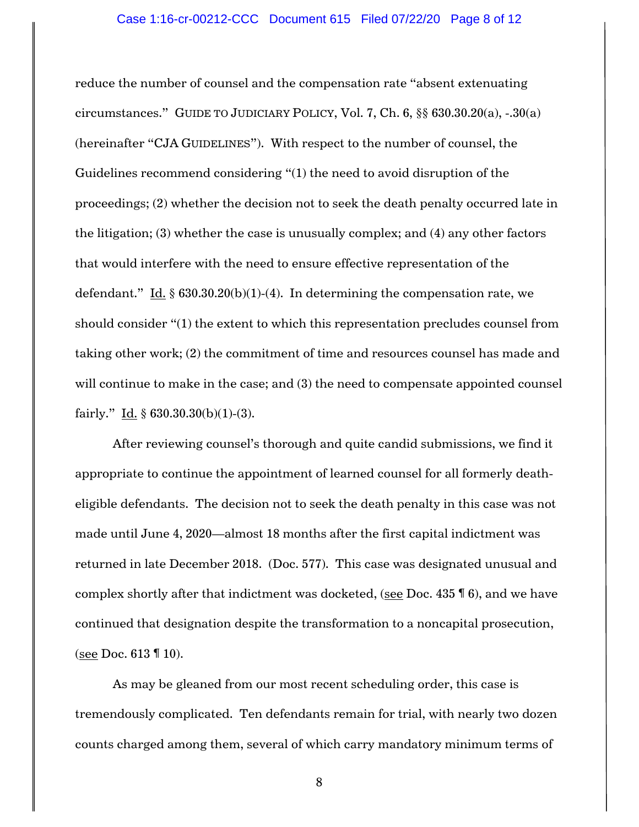reduce the number of counsel and the compensation rate "absent extenuating circumstances." GUIDE TO JUDICIARY POLICY, Vol. 7, Ch. 6, §§ 630.30.20(a), -.30(a) (hereinafter "CJA GUIDELINES"). With respect to the number of counsel, the Guidelines recommend considering "(1) the need to avoid disruption of the proceedings; (2) whether the decision not to seek the death penalty occurred late in the litigation; (3) whether the case is unusually complex; and (4) any other factors that would interfere with the need to ensure effective representation of the defendant." Id.  $\S$  630.30.20(b)(1)-(4). In determining the compensation rate, we should consider "(1) the extent to which this representation precludes counsel from taking other work; (2) the commitment of time and resources counsel has made and will continue to make in the case; and (3) the need to compensate appointed counsel fairly." Id.  $\S$  630.30.30(b)(1)-(3).

After reviewing counsel's thorough and quite candid submissions, we find it appropriate to continue the appointment of learned counsel for all formerly deatheligible defendants. The decision not to seek the death penalty in this case was not made until June 4, 2020—almost 18 months after the first capital indictment was returned in late December 2018. (Doc. 577). This case was designated unusual and complex shortly after that indictment was docketed, (see Doc. 435 ¶ 6), and we have continued that designation despite the transformation to a noncapital prosecution, (see Doc. 613 ¶ 10).

As may be gleaned from our most recent scheduling order, this case is tremendously complicated. Ten defendants remain for trial, with nearly two dozen counts charged among them, several of which carry mandatory minimum terms of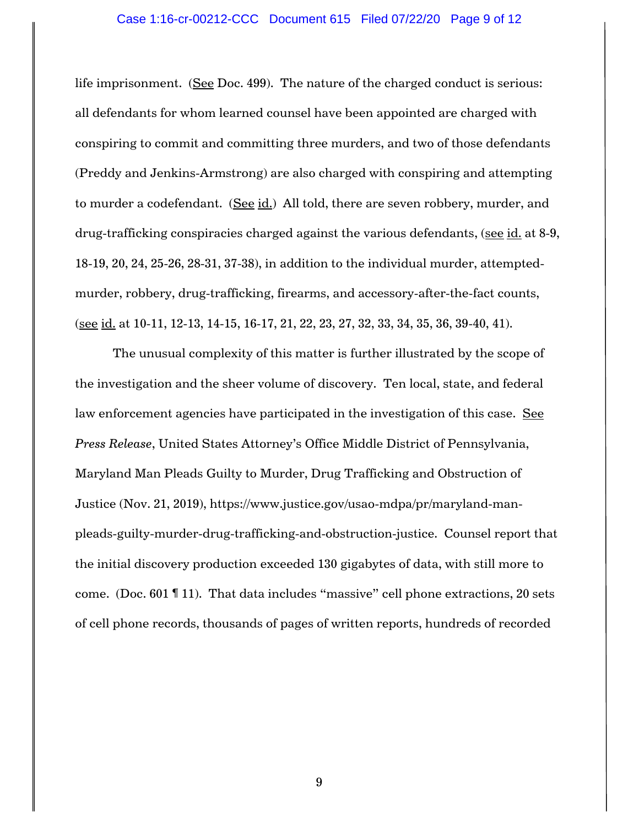life imprisonment. (See Doc. 499). The nature of the charged conduct is serious: all defendants for whom learned counsel have been appointed are charged with conspiring to commit and committing three murders, and two of those defendants (Preddy and Jenkins-Armstrong) are also charged with conspiring and attempting to murder a codefendant. (See id.) All told, there are seven robbery, murder, and drug-trafficking conspiracies charged against the various defendants, (see id. at 8-9, 18-19, 20, 24, 25-26, 28-31, 37-38), in addition to the individual murder, attemptedmurder, robbery, drug-trafficking, firearms, and accessory-after-the-fact counts, (see id. at 10-11, 12-13, 14-15, 16-17, 21, 22, 23, 27, 32, 33, 34, 35, 36, 39-40, 41).

The unusual complexity of this matter is further illustrated by the scope of the investigation and the sheer volume of discovery. Ten local, state, and federal law enforcement agencies have participated in the investigation of this case. See *Press Release*, United States Attorney's Office Middle District of Pennsylvania, Maryland Man Pleads Guilty to Murder, Drug Trafficking and Obstruction of Justice (Nov. 21, 2019), https://www.justice.gov/usao-mdpa/pr/maryland-manpleads-guilty-murder-drug-trafficking-and-obstruction-justice. Counsel report that the initial discovery production exceeded 130 gigabytes of data, with still more to come. (Doc. 601 ¶ 11). That data includes "massive" cell phone extractions, 20 sets of cell phone records, thousands of pages of written reports, hundreds of recorded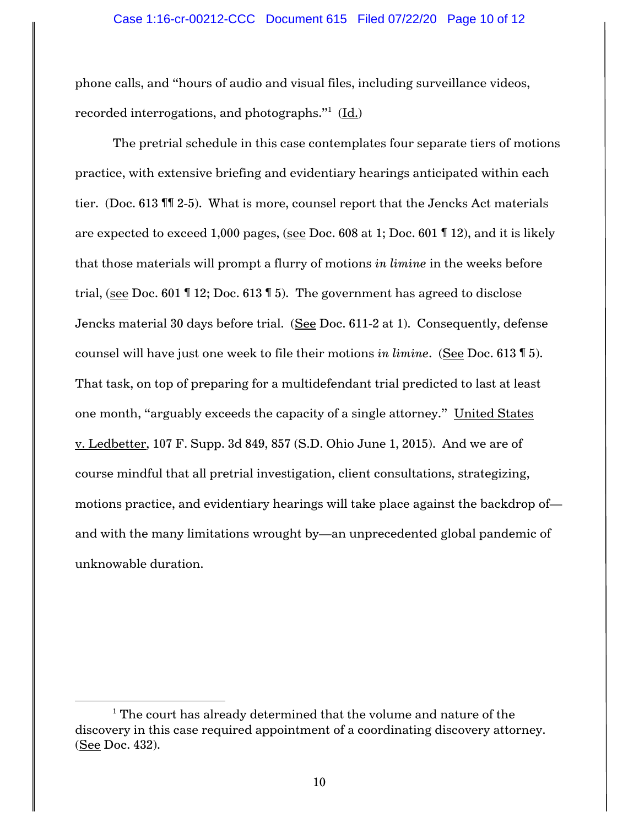phone calls, and "hours of audio and visual files, including surveillance videos, recorded interrogations, and photographs." $^{\rm 1}$  (<u>Id.</u>)

The pretrial schedule in this case contemplates four separate tiers of motions practice, with extensive briefing and evidentiary hearings anticipated within each tier. (Doc. 613 ¶¶ 2-5). What is more, counsel report that the Jencks Act materials are expected to exceed 1,000 pages, (see Doc. 608 at 1; Doc. 601 ¶ 12), and it is likely that those materials will prompt a flurry of motions *in limine* in the weeks before trial, (see Doc. 601 ¶ 12; Doc. 613 ¶ 5). The government has agreed to disclose Jencks material 30 days before trial. (See Doc. 611-2 at 1). Consequently, defense counsel will have just one week to file their motions *in limine*. (See Doc. 613 ¶ 5). That task, on top of preparing for a multidefendant trial predicted to last at least one month, "arguably exceeds the capacity of a single attorney." United States v. Ledbetter, 107 F. Supp. 3d 849, 857 (S.D. Ohio June 1, 2015). And we are of course mindful that all pretrial investigation, client consultations, strategizing, motions practice, and evidentiary hearings will take place against the backdrop of and with the many limitations wrought by—an unprecedented global pandemic of unknowable duration.

l

 $1$ <sup>1</sup> The court has already determined that the volume and nature of the discovery in this case required appointment of a coordinating discovery attorney. (See Doc. 432).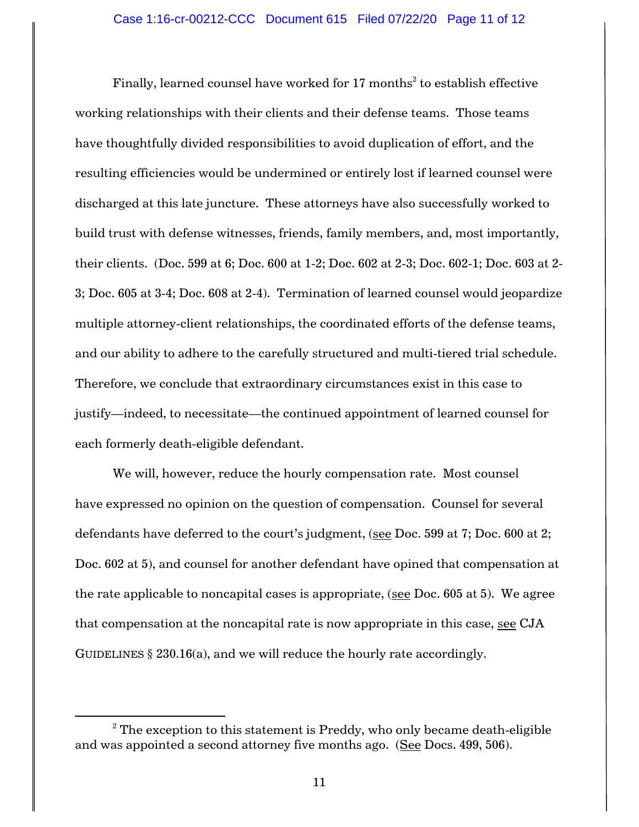Finally, learned counsel have worked for 17 months $^{\rm 2}$  to establish effective working relationships with their clients and their defense teams. Those teams have thoughtfully divided responsibilities to avoid duplication of effort, and the resulting efficiencies would be undermined or entirely lost if learned counsel were discharged at this late juncture. These attorneys have also successfully worked to build trust with defense witnesses, friends, family members, and, most importantly, their clients. (Doc. 599 at 6; Doc. 600 at 1-2; Doc. 602 at 2-3; Doc. 602-1; Doc. 603 at 2- 3; Doc. 605 at 3-4; Doc. 608 at 2-4). Termination of learned counsel would jeopardize multiple attorney-client relationships, the coordinated efforts of the defense teams, and our ability to adhere to the carefully structured and multi-tiered trial schedule. Therefore, we conclude that extraordinary circumstances exist in this case to justify—indeed, to necessitate—the continued appointment of learned counsel for each formerly death-eligible defendant.

We will, however, reduce the hourly compensation rate. Most counsel have expressed no opinion on the question of compensation. Counsel for several defendants have deferred to the court's judgment, (see Doc. 599 at 7; Doc. 600 at 2; Doc. 602 at 5), and counsel for another defendant have opined that compensation at the rate applicable to noncapital cases is appropriate, (see Doc. 605 at 5). We agree that compensation at the noncapital rate is now appropriate in this case, see CJA GUIDELINES  $\S 230.16(a)$ , and we will reduce the hourly rate accordingly.

 $\overline{\phantom{a}}$ 

 $2$ <sup>2</sup> The exception to this statement is Preddy, who only became death-eligible and was appointed a second attorney five months ago. (See Docs. 499, 506).